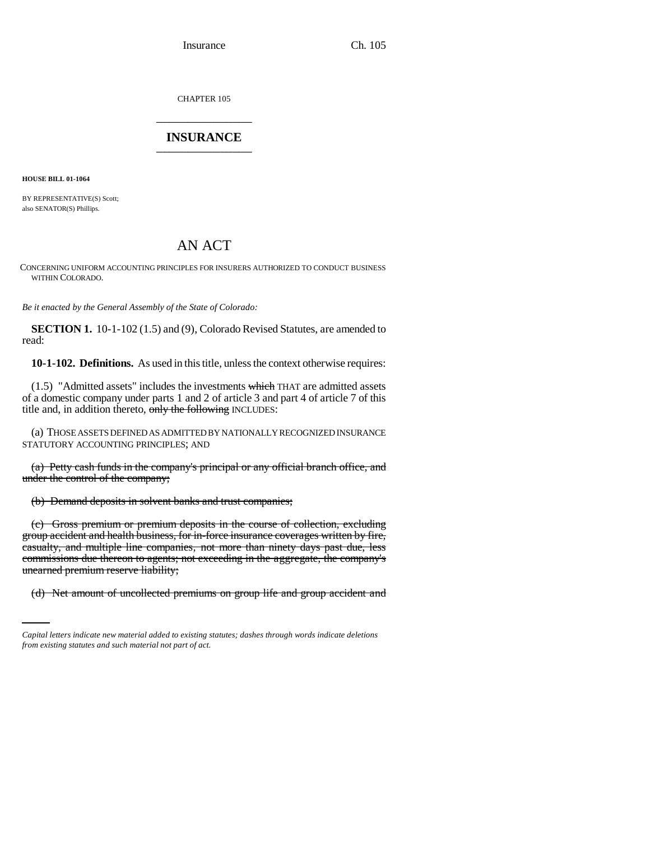Insurance Ch. 105

CHAPTER 105 \_\_\_\_\_\_\_\_\_\_\_\_\_\_\_

## **INSURANCE** \_\_\_\_\_\_\_\_\_\_\_\_\_\_\_

**HOUSE BILL 01-1064**

BY REPRESENTATIVE(S) Scott; also SENATOR(S) Phillips.

# AN ACT

CONCERNING UNIFORM ACCOUNTING PRINCIPLES FOR INSURERS AUTHORIZED TO CONDUCT BUSINESS WITHIN COLORADO.

*Be it enacted by the General Assembly of the State of Colorado:*

**SECTION 1.** 10-1-102 (1.5) and (9), Colorado Revised Statutes, are amended to read:

**10-1-102. Definitions.** As used in this title, unless the context otherwise requires:

(1.5) "Admitted assets" includes the investments which THAT are admitted assets of a domestic company under parts 1 and 2 of article 3 and part 4 of article 7 of this title and, in addition thereto, only the following INCLUDES:

(a) THOSE ASSETS DEFINED AS ADMITTED BY NATIONALLY RECOGNIZED INSURANCE STATUTORY ACCOUNTING PRINCIPLES; AND

(a) Petty cash funds in the company's principal or any official branch office, and under the control of the company;

(b) Demand deposits in solvent banks and trust companies;

unearned premium reserve liability; (c) Gross premium or premium deposits in the course of collection, excluding group accident and health business, for in-force insurance coverages written by fire, casualty, and multiple line companies, not more than ninety days past due, less commissions due thereon to agents; not exceeding in the aggregate, the company's

(d) Net amount of uncollected premiums on group life and group accident and

*Capital letters indicate new material added to existing statutes; dashes through words indicate deletions from existing statutes and such material not part of act.*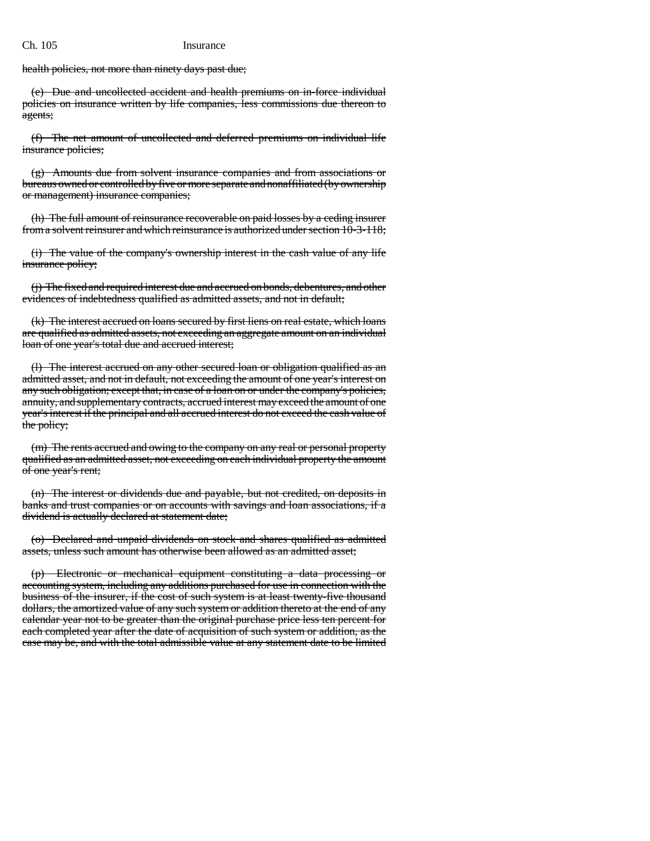health policies, not more than ninety days past due;

(e) Due and uncollected accident and health premiums on in-force individual policies on insurance written by life companies, less commissions due thereon to agents;

(f) The net amount of uncollected and deferred premiums on individual life insurance policies;

(g) Amounts due from solvent insurance companies and from associations or bureaus owned or controlled by five or more separate and nonaffiliated (by ownership or management) insurance companies;

(h) The full amount of reinsurance recoverable on paid losses by a ceding insurer from a solvent reinsurer and which reinsurance is authorized under section 10-3-118;

(i) The value of the company's ownership interest in the cash value of any life insurance policy;

(j) The fixed and required interest due and accrued on bonds, debentures, and other evidences of indebtedness qualified as admitted assets, and not in default;

(k) The interest accrued on loans secured by first liens on real estate, which loans are qualified as admitted assets, not exceeding an aggregate amount on an individual loan of one year's total due and accrued interest;

(l) The interest accrued on any other secured loan or obligation qualified as an admitted asset, and not in default, not exceeding the amount of one year's interest on any such obligation; except that, in case of a loan on or under the company's policies, annuity, and supplementary contracts, accrued interest may exceed the amount of one year's interest if the principal and all accrued interest do not exceed the cash value of the policy;

(m) The rents accrued and owing to the company on any real or personal property qualified as an admitted asset, not exceeding on each individual property the amount of one year's rent;

(n) The interest or dividends due and payable, but not credited, on deposits in banks and trust companies or on accounts with savings and loan associations, if a dividend is actually declared at statement date;

(o) Declared and unpaid dividends on stock and shares qualified as admitted assets, unless such amount has otherwise been allowed as an admitted asset;

(p) Electronic or mechanical equipment constituting a data processing or accounting system, including any additions purchased for use in connection with the business of the insurer, if the cost of such system is at least twenty-five thousand dollars, the amortized value of any such system or addition thereto at the end of any calendar year not to be greater than the original purchase price less ten percent for each completed year after the date of acquisition of such system or addition, as the case may be, and with the total admissible value at any statement date to be limited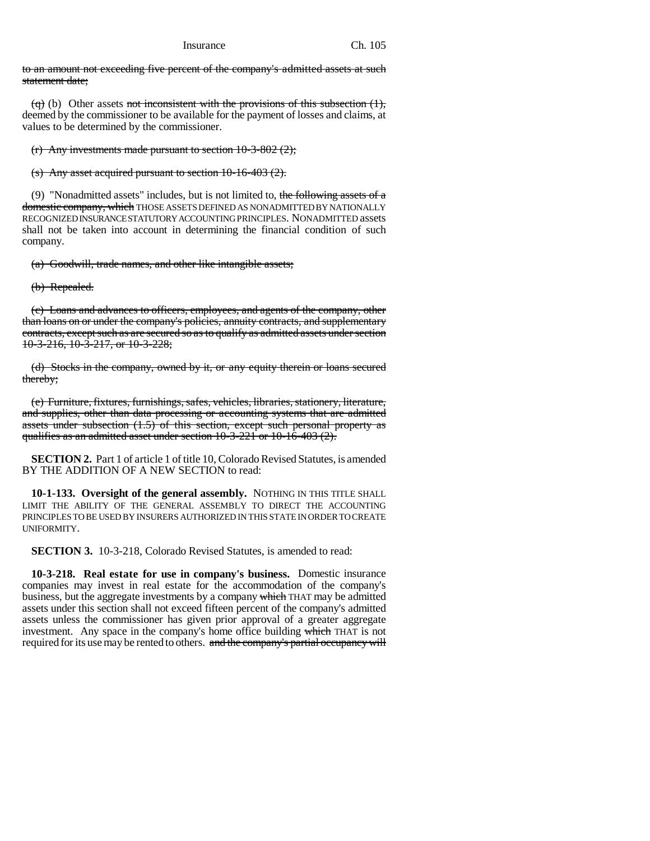to an amount not exceeding five percent of the company's admitted assets at such statement date;

(q) (b) Other assets not inconsistent with the provisions of this subsection  $(1)$ , deemed by the commissioner to be available for the payment of losses and claims, at values to be determined by the commissioner.

(r) Any investments made pursuant to section  $10-3-802$  (2);

(s) Any asset acquired pursuant to section 10-16-403 (2).

(9) "Nonadmitted assets" includes, but is not limited to, the following assets of a domestic company, which THOSE ASSETS DEFINED AS NONADMITTED BY NATIONALLY RECOGNIZED INSURANCE STATUTORY ACCOUNTING PRINCIPLES. NONADMITTED assets shall not be taken into account in determining the financial condition of such company.

(a) Goodwill, trade names, and other like intangible assets;

(b) Repealed.

(c) Loans and advances to officers, employees, and agents of the company, other than loans on or under the company's policies, annuity contracts, and supplementary contracts, except such as are secured so as to qualify as admitted assets under section  $10-3-216$ ,  $10-3-217$ , or  $10-3-228$ ;

(d) Stocks in the company, owned by it, or any equity therein or loans secured thereby;

(e) Furniture, fixtures, furnishings, safes, vehicles, libraries, stationery, literature, and supplies, other than data processing or accounting systems that are admitted assets under subsection  $(1.5)$  of this section, except such personal property as qualifies as an admitted asset under section  $10-3-221$  or  $10-16-403$   $(2)$ .

**SECTION 2.** Part 1 of article 1 of title 10, Colorado Revised Statutes, is amended BY THE ADDITION OF A NEW SECTION to read:

**10-1-133. Oversight of the general assembly.** NOTHING IN THIS TITLE SHALL LIMIT THE ABILITY OF THE GENERAL ASSEMBLY TO DIRECT THE ACCOUNTING PRINCIPLES TO BE USED BY INSURERS AUTHORIZED IN THIS STATE IN ORDER TO CREATE UNIFORMITY.

**SECTION 3.** 10-3-218, Colorado Revised Statutes, is amended to read:

**10-3-218. Real estate for use in company's business.** Domestic insurance companies may invest in real estate for the accommodation of the company's business, but the aggregate investments by a company which THAT may be admitted assets under this section shall not exceed fifteen percent of the company's admitted assets unless the commissioner has given prior approval of a greater aggregate investment. Any space in the company's home office building which THAT is not required for its use may be rented to others. and the company's partial occupancy will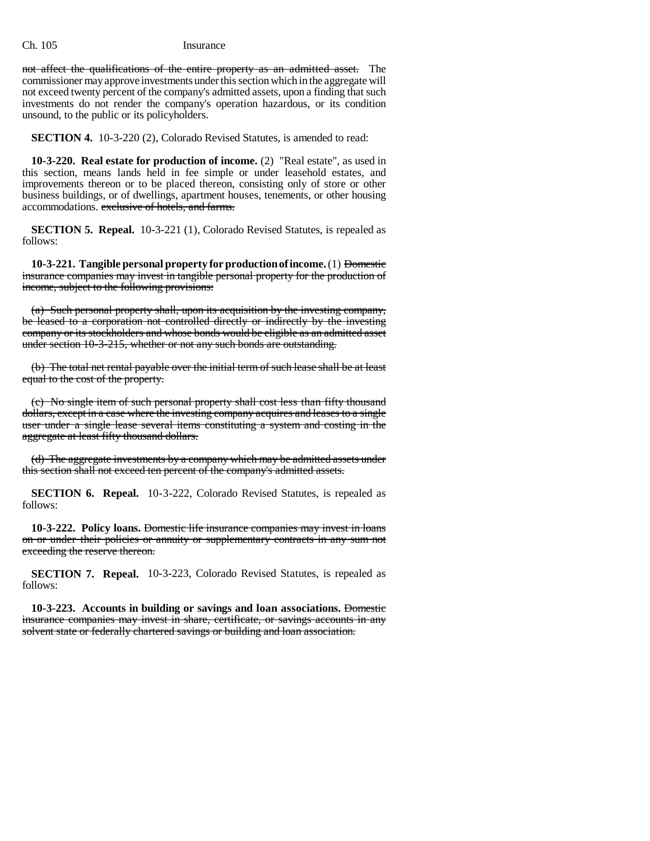not affect the qualifications of the entire property as an admitted asset. The commissioner may approve investments under this section which in the aggregate will not exceed twenty percent of the company's admitted assets, upon a finding that such investments do not render the company's operation hazardous, or its condition unsound, to the public or its policyholders.

**SECTION 4.** 10-3-220 (2), Colorado Revised Statutes, is amended to read:

**10-3-220. Real estate for production of income.** (2) "Real estate", as used in this section, means lands held in fee simple or under leasehold estates, and improvements thereon or to be placed thereon, consisting only of store or other business buildings, or of dwellings, apartment houses, tenements, or other housing accommodations. exclusive of hotels, and farms.

**SECTION 5. Repeal.** 10-3-221 (1), Colorado Revised Statutes, is repealed as follows:

**10-3-221. Tangible personal property for production of income.** (1) Domestic insurance companies may invest in tangible personal property for the production of income, subject to the following provisions:

(a) Such personal property shall, upon its acquisition by the investing company, be leased to a corporation not controlled directly or indirectly by the investing company or its stockholders and whose bonds would be eligible as an admitted asset under section 10-3-215, whether or not any such bonds are outstanding.

(b) The total net rental payable over the initial term of such lease shall be at least equal to the cost of the property.

(c) No single item of such personal property shall cost less than fifty thousand dollars, except in a case where the investing company acquires and leases to a single user under a single lease several items constituting a system and costing in the aggregate at least fifty thousand dollars.

(d) The aggregate investments by a company which may be admitted assets under this section shall not exceed ten percent of the company's admitted assets.

**SECTION 6. Repeal.** 10-3-222, Colorado Revised Statutes, is repealed as follows:

**10-3-222. Policy loans.** Domestic life insurance companies may invest in loans on or under their policies or annuity or supplementary contracts in any sum not exceeding the reserve thereon.

**SECTION 7. Repeal.** 10-3-223, Colorado Revised Statutes, is repealed as follows:

**10-3-223. Accounts in building or savings and loan associations.** Domestic insurance companies may invest in share, certificate, or savings accounts in any solvent state or federally chartered savings or building and loan association.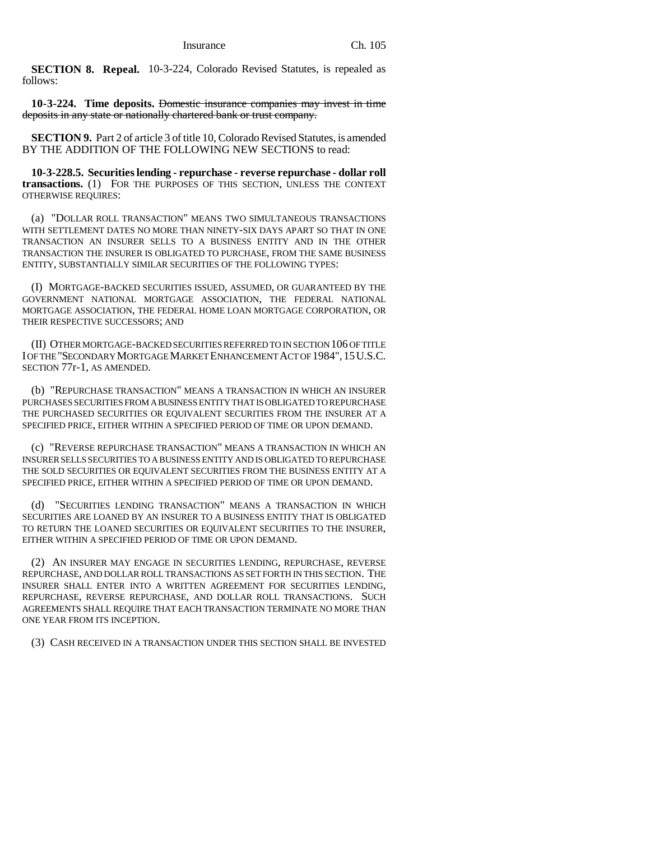**SECTION 8. Repeal.** 10-3-224, Colorado Revised Statutes, is repealed as follows:

**10-3-224. Time deposits.** Domestic insurance companies may invest in time deposits in any state or nationally chartered bank or trust company.

**SECTION 9.** Part 2 of article 3 of title 10, Colorado Revised Statutes, is amended BY THE ADDITION OF THE FOLLOWING NEW SECTIONS to read:

**10-3-228.5. Securities lending - repurchase - reverse repurchase - dollar roll transactions.** (1) FOR THE PURPOSES OF THIS SECTION, UNLESS THE CONTEXT OTHERWISE REQUIRES:

(a) "DOLLAR ROLL TRANSACTION" MEANS TWO SIMULTANEOUS TRANSACTIONS WITH SETTLEMENT DATES NO MORE THAN NINETY-SIX DAYS APART SO THAT IN ONE TRANSACTION AN INSURER SELLS TO A BUSINESS ENTITY AND IN THE OTHER TRANSACTION THE INSURER IS OBLIGATED TO PURCHASE, FROM THE SAME BUSINESS ENTITY, SUBSTANTIALLY SIMILAR SECURITIES OF THE FOLLOWING TYPES:

(I) MORTGAGE-BACKED SECURITIES ISSUED, ASSUMED, OR GUARANTEED BY THE GOVERNMENT NATIONAL MORTGAGE ASSOCIATION, THE FEDERAL NATIONAL MORTGAGE ASSOCIATION, THE FEDERAL HOME LOAN MORTGAGE CORPORATION, OR THEIR RESPECTIVE SUCCESSORS; AND

(II) OTHER MORTGAGE-BACKED SECURITIES REFERRED TO IN SECTION 106 OF TITLE I OF THE "SECONDARY MORTGAGE MARKET ENHANCEMENT ACT OF 1984",15U.S.C. SECTION 77r-1, AS AMENDED.

(b) "REPURCHASE TRANSACTION" MEANS A TRANSACTION IN WHICH AN INSURER PURCHASES SECURITIES FROM A BUSINESS ENTITY THAT IS OBLIGATED TO REPURCHASE THE PURCHASED SECURITIES OR EQUIVALENT SECURITIES FROM THE INSURER AT A SPECIFIED PRICE, EITHER WITHIN A SPECIFIED PERIOD OF TIME OR UPON DEMAND.

(c) "REVERSE REPURCHASE TRANSACTION" MEANS A TRANSACTION IN WHICH AN INSURER SELLS SECURITIES TO A BUSINESS ENTITY AND IS OBLIGATED TO REPURCHASE THE SOLD SECURITIES OR EQUIVALENT SECURITIES FROM THE BUSINESS ENTITY AT A SPECIFIED PRICE, EITHER WITHIN A SPECIFIED PERIOD OF TIME OR UPON DEMAND.

(d) "SECURITIES LENDING TRANSACTION" MEANS A TRANSACTION IN WHICH SECURITIES ARE LOANED BY AN INSURER TO A BUSINESS ENTITY THAT IS OBLIGATED TO RETURN THE LOANED SECURITIES OR EQUIVALENT SECURITIES TO THE INSURER, EITHER WITHIN A SPECIFIED PERIOD OF TIME OR UPON DEMAND.

(2) AN INSURER MAY ENGAGE IN SECURITIES LENDING, REPURCHASE, REVERSE REPURCHASE, AND DOLLAR ROLL TRANSACTIONS AS SET FORTH IN THIS SECTION. THE INSURER SHALL ENTER INTO A WRITTEN AGREEMENT FOR SECURITIES LENDING, REPURCHASE, REVERSE REPURCHASE, AND DOLLAR ROLL TRANSACTIONS. SUCH AGREEMENTS SHALL REQUIRE THAT EACH TRANSACTION TERMINATE NO MORE THAN ONE YEAR FROM ITS INCEPTION.

(3) CASH RECEIVED IN A TRANSACTION UNDER THIS SECTION SHALL BE INVESTED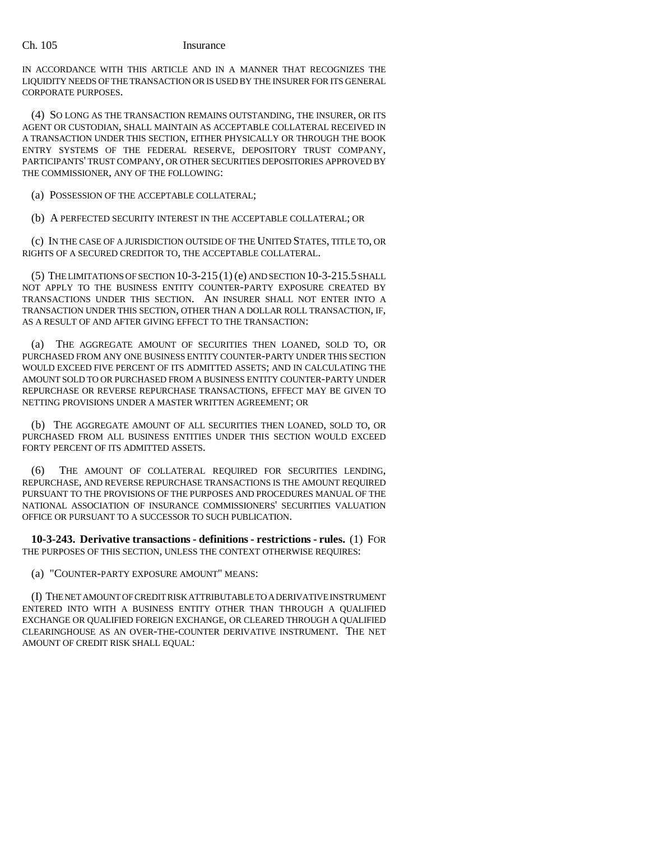IN ACCORDANCE WITH THIS ARTICLE AND IN A MANNER THAT RECOGNIZES THE LIQUIDITY NEEDS OF THE TRANSACTION OR IS USED BY THE INSURER FOR ITS GENERAL CORPORATE PURPOSES.

(4) SO LONG AS THE TRANSACTION REMAINS OUTSTANDING, THE INSURER, OR ITS AGENT OR CUSTODIAN, SHALL MAINTAIN AS ACCEPTABLE COLLATERAL RECEIVED IN A TRANSACTION UNDER THIS SECTION, EITHER PHYSICALLY OR THROUGH THE BOOK ENTRY SYSTEMS OF THE FEDERAL RESERVE, DEPOSITORY TRUST COMPANY, PARTICIPANTS' TRUST COMPANY, OR OTHER SECURITIES DEPOSITORIES APPROVED BY THE COMMISSIONER, ANY OF THE FOLLOWING:

(a) POSSESSION OF THE ACCEPTABLE COLLATERAL;

(b) A PERFECTED SECURITY INTEREST IN THE ACCEPTABLE COLLATERAL; OR

(c) IN THE CASE OF A JURISDICTION OUTSIDE OF THE UNITED STATES, TITLE TO, OR RIGHTS OF A SECURED CREDITOR TO, THE ACCEPTABLE COLLATERAL.

(5) THE LIMITATIONS OF SECTION 10-3-215 (1) (e) AND SECTION 10-3-215.5 SHALL NOT APPLY TO THE BUSINESS ENTITY COUNTER-PARTY EXPOSURE CREATED BY TRANSACTIONS UNDER THIS SECTION. AN INSURER SHALL NOT ENTER INTO A TRANSACTION UNDER THIS SECTION, OTHER THAN A DOLLAR ROLL TRANSACTION, IF, AS A RESULT OF AND AFTER GIVING EFFECT TO THE TRANSACTION:

(a) THE AGGREGATE AMOUNT OF SECURITIES THEN LOANED, SOLD TO, OR PURCHASED FROM ANY ONE BUSINESS ENTITY COUNTER-PARTY UNDER THIS SECTION WOULD EXCEED FIVE PERCENT OF ITS ADMITTED ASSETS; AND IN CALCULATING THE AMOUNT SOLD TO OR PURCHASED FROM A BUSINESS ENTITY COUNTER-PARTY UNDER REPURCHASE OR REVERSE REPURCHASE TRANSACTIONS, EFFECT MAY BE GIVEN TO NETTING PROVISIONS UNDER A MASTER WRITTEN AGREEMENT; OR

(b) THE AGGREGATE AMOUNT OF ALL SECURITIES THEN LOANED, SOLD TO, OR PURCHASED FROM ALL BUSINESS ENTITIES UNDER THIS SECTION WOULD EXCEED FORTY PERCENT OF ITS ADMITTED ASSETS.

(6) THE AMOUNT OF COLLATERAL REQUIRED FOR SECURITIES LENDING, REPURCHASE, AND REVERSE REPURCHASE TRANSACTIONS IS THE AMOUNT REQUIRED PURSUANT TO THE PROVISIONS OF THE PURPOSES AND PROCEDURES MANUAL OF THE NATIONAL ASSOCIATION OF INSURANCE COMMISSIONERS' SECURITIES VALUATION OFFICE OR PURSUANT TO A SUCCESSOR TO SUCH PUBLICATION.

**10-3-243. Derivative transactions - definitions - restrictions - rules.** (1) FOR THE PURPOSES OF THIS SECTION, UNLESS THE CONTEXT OTHERWISE REQUIRES:

(a) "COUNTER-PARTY EXPOSURE AMOUNT" MEANS:

(I) THE NET AMOUNT OF CREDIT RISK ATTRIBUTABLE TO A DERIVATIVE INSTRUMENT ENTERED INTO WITH A BUSINESS ENTITY OTHER THAN THROUGH A QUALIFIED EXCHANGE OR QUALIFIED FOREIGN EXCHANGE, OR CLEARED THROUGH A QUALIFIED CLEARINGHOUSE AS AN OVER-THE-COUNTER DERIVATIVE INSTRUMENT. THE NET AMOUNT OF CREDIT RISK SHALL EQUAL: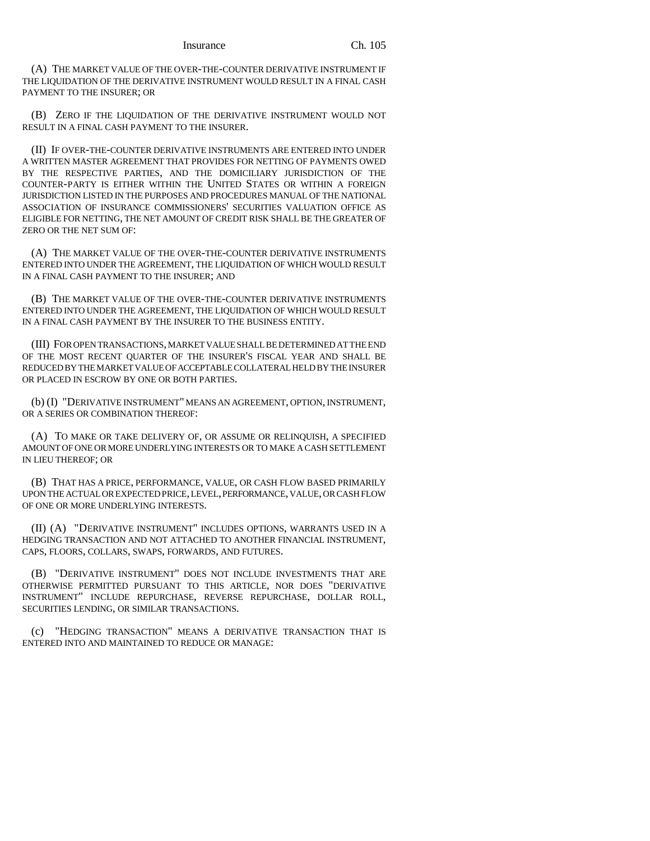(A) THE MARKET VALUE OF THE OVER-THE-COUNTER DERIVATIVE INSTRUMENT IF THE LIQUIDATION OF THE DERIVATIVE INSTRUMENT WOULD RESULT IN A FINAL CASH PAYMENT TO THE INSURER; OR

(B) ZERO IF THE LIQUIDATION OF THE DERIVATIVE INSTRUMENT WOULD NOT RESULT IN A FINAL CASH PAYMENT TO THE INSURER.

(II) IF OVER-THE-COUNTER DERIVATIVE INSTRUMENTS ARE ENTERED INTO UNDER A WRITTEN MASTER AGREEMENT THAT PROVIDES FOR NETTING OF PAYMENTS OWED BY THE RESPECTIVE PARTIES, AND THE DOMICILIARY JURISDICTION OF THE COUNTER-PARTY IS EITHER WITHIN THE UNITED STATES OR WITHIN A FOREIGN JURISDICTION LISTED IN THE PURPOSES AND PROCEDURES MANUAL OF THE NATIONAL ASSOCIATION OF INSURANCE COMMISSIONERS' SECURITIES VALUATION OFFICE AS ELIGIBLE FOR NETTING, THE NET AMOUNT OF CREDIT RISK SHALL BE THE GREATER OF ZERO OR THE NET SUM OF:

(A) THE MARKET VALUE OF THE OVER-THE-COUNTER DERIVATIVE INSTRUMENTS ENTERED INTO UNDER THE AGREEMENT, THE LIQUIDATION OF WHICH WOULD RESULT IN A FINAL CASH PAYMENT TO THE INSURER; AND

(B) THE MARKET VALUE OF THE OVER-THE-COUNTER DERIVATIVE INSTRUMENTS ENTERED INTO UNDER THE AGREEMENT, THE LIQUIDATION OF WHICH WOULD RESULT IN A FINAL CASH PAYMENT BY THE INSURER TO THE BUSINESS ENTITY.

(III) FOR OPEN TRANSACTIONS, MARKET VALUE SHALL BE DETERMINED AT THE END OF THE MOST RECENT QUARTER OF THE INSURER'S FISCAL YEAR AND SHALL BE REDUCED BY THE MARKET VALUE OF ACCEPTABLE COLLATERAL HELD BY THE INSURER OR PLACED IN ESCROW BY ONE OR BOTH PARTIES.

(b) (I) "DERIVATIVE INSTRUMENT" MEANS AN AGREEMENT, OPTION, INSTRUMENT, OR A SERIES OR COMBINATION THEREOF:

(A) TO MAKE OR TAKE DELIVERY OF, OR ASSUME OR RELINQUISH, A SPECIFIED AMOUNT OF ONE OR MORE UNDERLYING INTERESTS OR TO MAKE A CASH SETTLEMENT IN LIEU THEREOF; OR

(B) THAT HAS A PRICE, PERFORMANCE, VALUE, OR CASH FLOW BASED PRIMARILY UPON THE ACTUAL OR EXPECTED PRICE, LEVEL, PERFORMANCE, VALUE, OR CASH FLOW OF ONE OR MORE UNDERLYING INTERESTS.

(II) (A) "DERIVATIVE INSTRUMENT" INCLUDES OPTIONS, WARRANTS USED IN A HEDGING TRANSACTION AND NOT ATTACHED TO ANOTHER FINANCIAL INSTRUMENT, CAPS, FLOORS, COLLARS, SWAPS, FORWARDS, AND FUTURES.

(B) "DERIVATIVE INSTRUMENT" DOES NOT INCLUDE INVESTMENTS THAT ARE OTHERWISE PERMITTED PURSUANT TO THIS ARTICLE, NOR DOES "DERIVATIVE INSTRUMENT" INCLUDE REPURCHASE, REVERSE REPURCHASE, DOLLAR ROLL, SECURITIES LENDING, OR SIMILAR TRANSACTIONS.

(c) "HEDGING TRANSACTION" MEANS A DERIVATIVE TRANSACTION THAT IS ENTERED INTO AND MAINTAINED TO REDUCE OR MANAGE: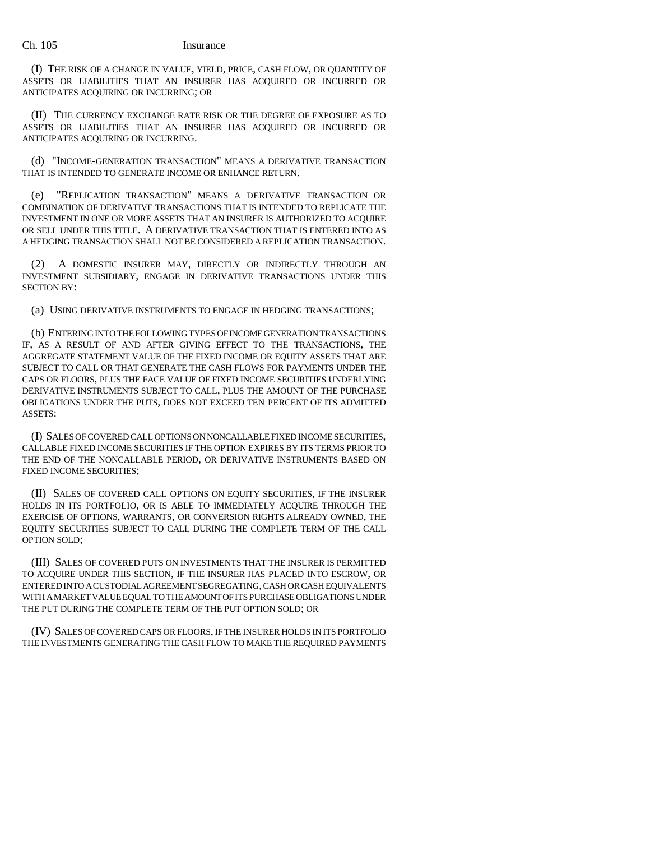(I) THE RISK OF A CHANGE IN VALUE, YIELD, PRICE, CASH FLOW, OR QUANTITY OF ASSETS OR LIABILITIES THAT AN INSURER HAS ACQUIRED OR INCURRED OR ANTICIPATES ACQUIRING OR INCURRING; OR

(II) THE CURRENCY EXCHANGE RATE RISK OR THE DEGREE OF EXPOSURE AS TO ASSETS OR LIABILITIES THAT AN INSURER HAS ACQUIRED OR INCURRED OR ANTICIPATES ACQUIRING OR INCURRING.

(d) "INCOME-GENERATION TRANSACTION" MEANS A DERIVATIVE TRANSACTION THAT IS INTENDED TO GENERATE INCOME OR ENHANCE RETURN.

(e) "REPLICATION TRANSACTION" MEANS A DERIVATIVE TRANSACTION OR COMBINATION OF DERIVATIVE TRANSACTIONS THAT IS INTENDED TO REPLICATE THE INVESTMENT IN ONE OR MORE ASSETS THAT AN INSURER IS AUTHORIZED TO ACQUIRE OR SELL UNDER THIS TITLE. A DERIVATIVE TRANSACTION THAT IS ENTERED INTO AS A HEDGING TRANSACTION SHALL NOT BE CONSIDERED A REPLICATION TRANSACTION.

(2) A DOMESTIC INSURER MAY, DIRECTLY OR INDIRECTLY THROUGH AN INVESTMENT SUBSIDIARY, ENGAGE IN DERIVATIVE TRANSACTIONS UNDER THIS SECTION BY:

(a) USING DERIVATIVE INSTRUMENTS TO ENGAGE IN HEDGING TRANSACTIONS;

(b) ENTERING INTO THE FOLLOWING TYPES OF INCOME GENERATION TRANSACTIONS IF, AS A RESULT OF AND AFTER GIVING EFFECT TO THE TRANSACTIONS, THE AGGREGATE STATEMENT VALUE OF THE FIXED INCOME OR EQUITY ASSETS THAT ARE SUBJECT TO CALL OR THAT GENERATE THE CASH FLOWS FOR PAYMENTS UNDER THE CAPS OR FLOORS, PLUS THE FACE VALUE OF FIXED INCOME SECURITIES UNDERLYING DERIVATIVE INSTRUMENTS SUBJECT TO CALL, PLUS THE AMOUNT OF THE PURCHASE OBLIGATIONS UNDER THE PUTS, DOES NOT EXCEED TEN PERCENT OF ITS ADMITTED ASSETS:

(I) SALES OF COVERED CALL OPTIONS ON NONCALLABLE FIXED INCOME SECURITIES, CALLABLE FIXED INCOME SECURITIES IF THE OPTION EXPIRES BY ITS TERMS PRIOR TO THE END OF THE NONCALLABLE PERIOD, OR DERIVATIVE INSTRUMENTS BASED ON FIXED INCOME SECURITIES;

(II) SALES OF COVERED CALL OPTIONS ON EQUITY SECURITIES, IF THE INSURER HOLDS IN ITS PORTFOLIO, OR IS ABLE TO IMMEDIATELY ACQUIRE THROUGH THE EXERCISE OF OPTIONS, WARRANTS, OR CONVERSION RIGHTS ALREADY OWNED, THE EQUITY SECURITIES SUBJECT TO CALL DURING THE COMPLETE TERM OF THE CALL OPTION SOLD;

(III) SALES OF COVERED PUTS ON INVESTMENTS THAT THE INSURER IS PERMITTED TO ACQUIRE UNDER THIS SECTION, IF THE INSURER HAS PLACED INTO ESCROW, OR ENTERED INTO A CUSTODIAL AGREEMENT SEGREGATING, CASH OR CASH EQUIVALENTS WITH A MARKET VALUE EQUAL TO THE AMOUNT OF ITS PURCHASE OBLIGATIONS UNDER THE PUT DURING THE COMPLETE TERM OF THE PUT OPTION SOLD; OR

(IV) SALES OF COVERED CAPS OR FLOORS, IF THE INSURER HOLDS IN ITS PORTFOLIO THE INVESTMENTS GENERATING THE CASH FLOW TO MAKE THE REQUIRED PAYMENTS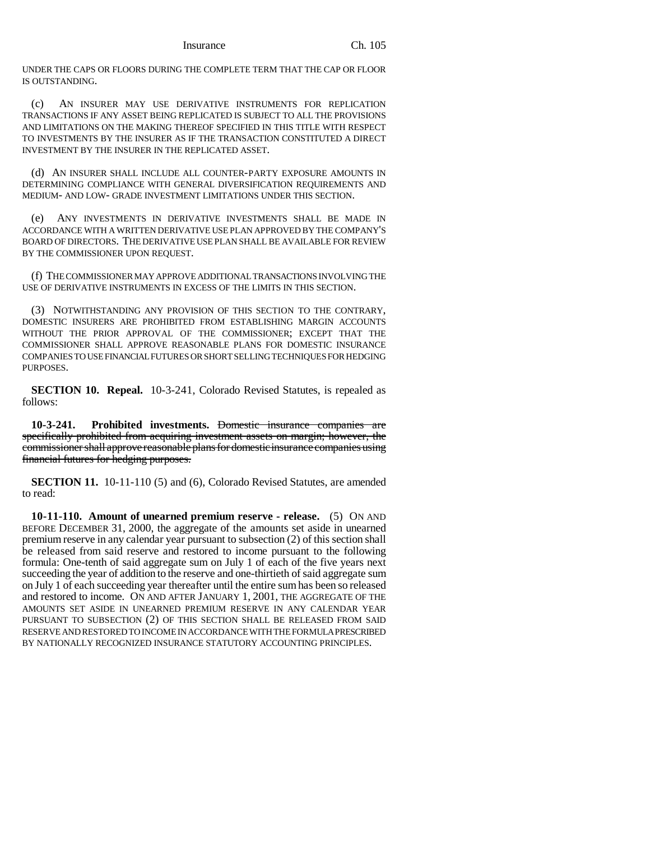### Insurance Ch. 105

UNDER THE CAPS OR FLOORS DURING THE COMPLETE TERM THAT THE CAP OR FLOOR IS OUTSTANDING.

(c) AN INSURER MAY USE DERIVATIVE INSTRUMENTS FOR REPLICATION TRANSACTIONS IF ANY ASSET BEING REPLICATED IS SUBJECT TO ALL THE PROVISIONS AND LIMITATIONS ON THE MAKING THEREOF SPECIFIED IN THIS TITLE WITH RESPECT TO INVESTMENTS BY THE INSURER AS IF THE TRANSACTION CONSTITUTED A DIRECT INVESTMENT BY THE INSURER IN THE REPLICATED ASSET.

(d) AN INSURER SHALL INCLUDE ALL COUNTER-PARTY EXPOSURE AMOUNTS IN DETERMINING COMPLIANCE WITH GENERAL DIVERSIFICATION REQUIREMENTS AND MEDIUM- AND LOW- GRADE INVESTMENT LIMITATIONS UNDER THIS SECTION.

(e) ANY INVESTMENTS IN DERIVATIVE INVESTMENTS SHALL BE MADE IN ACCORDANCE WITH A WRITTEN DERIVATIVE USE PLAN APPROVED BY THE COMPANY'S BOARD OF DIRECTORS. THE DERIVATIVE USE PLAN SHALL BE AVAILABLE FOR REVIEW BY THE COMMISSIONER UPON REQUEST.

(f) THE COMMISSIONER MAY APPROVE ADDITIONAL TRANSACTIONS INVOLVING THE USE OF DERIVATIVE INSTRUMENTS IN EXCESS OF THE LIMITS IN THIS SECTION.

(3) NOTWITHSTANDING ANY PROVISION OF THIS SECTION TO THE CONTRARY, DOMESTIC INSURERS ARE PROHIBITED FROM ESTABLISHING MARGIN ACCOUNTS WITHOUT THE PRIOR APPROVAL OF THE COMMISSIONER; EXCEPT THAT THE COMMISSIONER SHALL APPROVE REASONABLE PLANS FOR DOMESTIC INSURANCE COMPANIES TO USE FINANCIAL FUTURES OR SHORT SELLING TECHNIQUES FOR HEDGING PURPOSES.

**SECTION 10. Repeal.** 10-3-241, Colorado Revised Statutes, is repealed as follows:

**10-3-241. Prohibited investments.** Domestic insurance companies are specifically prohibited from acquiring investment assets on margin; however, the commissioner shall approve reasonable plans for domestic insurance companies using financial futures for hedging purposes.

**SECTION 11.** 10-11-110 (5) and (6), Colorado Revised Statutes, are amended to read:

**10-11-110. Amount of unearned premium reserve - release.** (5) ON AND BEFORE DECEMBER 31, 2000, the aggregate of the amounts set aside in unearned premium reserve in any calendar year pursuant to subsection (2) of this section shall be released from said reserve and restored to income pursuant to the following formula: One-tenth of said aggregate sum on July 1 of each of the five years next succeeding the year of addition to the reserve and one-thirtieth of said aggregate sum on July 1 of each succeeding year thereafter until the entire sum has been so released and restored to income. ON AND AFTER JANUARY 1, 2001, THE AGGREGATE OF THE AMOUNTS SET ASIDE IN UNEARNED PREMIUM RESERVE IN ANY CALENDAR YEAR PURSUANT TO SUBSECTION (2) OF THIS SECTION SHALL BE RELEASED FROM SAID RESERVE AND RESTORED TO INCOME IN ACCORDANCE WITH THE FORMULA PRESCRIBED BY NATIONALLY RECOGNIZED INSURANCE STATUTORY ACCOUNTING PRINCIPLES.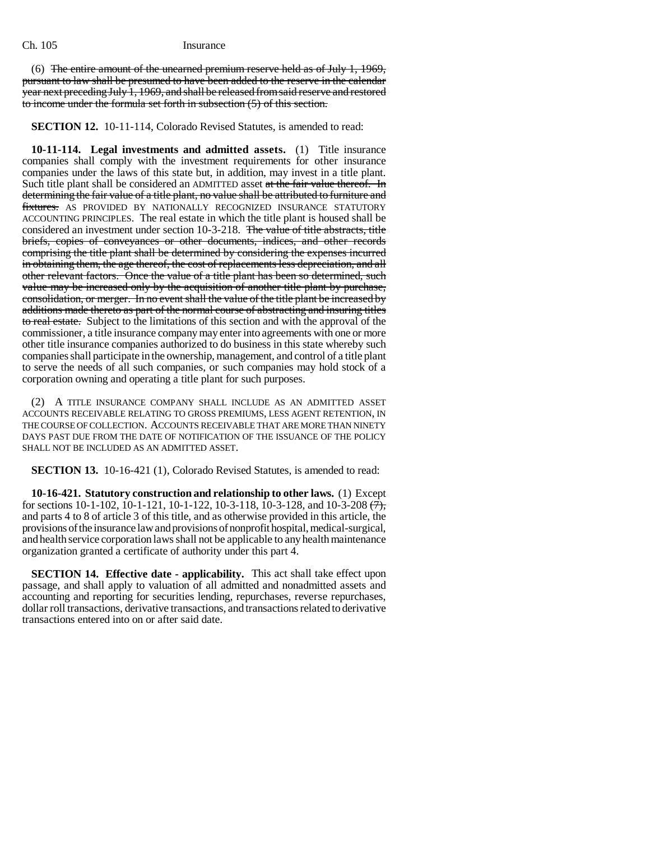(6) The entire amount of the unearned premium reserve held as of July 1, 1969, pursuant to law shall be presumed to have been added to the reserve in the calendar year next preceding July 1, 1969, and shall be released from said reserve and restored to income under the formula set forth in subsection (5) of this section.

**SECTION 12.** 10-11-114, Colorado Revised Statutes, is amended to read:

**10-11-114. Legal investments and admitted assets.** (1) Title insurance companies shall comply with the investment requirements for other insurance companies under the laws of this state but, in addition, may invest in a title plant. Such title plant shall be considered an ADMITTED asset at the fair value thereof. In determining the fair value of a title plant, no value shall be attributed to furniture and fixtures. AS PROVIDED BY NATIONALLY RECOGNIZED INSURANCE STATUTORY ACCOUNTING PRINCIPLES. The real estate in which the title plant is housed shall be considered an investment under section 10-3-218. The value of title abstracts, title briefs, copies of conveyances or other documents, indices, and other records comprising the title plant shall be determined by considering the expenses incurred in obtaining them, the age thereof, the cost of replacements less depreciation, and all other relevant factors. Once the value of a title plant has been so determined, such value may be increased only by the acquisition of another title plant by purchase, consolidation, or merger. In no event shall the value of the title plant be increased by additions made thereto as part of the normal course of abstracting and insuring titles to real estate. Subject to the limitations of this section and with the approval of the commissioner, a title insurance company may enter into agreements with one or more other title insurance companies authorized to do business in this state whereby such companies shall participate in the ownership, management, and control of a title plant to serve the needs of all such companies, or such companies may hold stock of a corporation owning and operating a title plant for such purposes.

(2) A TITLE INSURANCE COMPANY SHALL INCLUDE AS AN ADMITTED ASSET ACCOUNTS RECEIVABLE RELATING TO GROSS PREMIUMS, LESS AGENT RETENTION, IN THE COURSE OF COLLECTION. ACCOUNTS RECEIVABLE THAT ARE MORE THAN NINETY DAYS PAST DUE FROM THE DATE OF NOTIFICATION OF THE ISSUANCE OF THE POLICY SHALL NOT BE INCLUDED AS AN ADMITTED ASSET.

**SECTION 13.** 10-16-421 (1), Colorado Revised Statutes, is amended to read:

**10-16-421. Statutory construction and relationship to other laws.** (1) Except for sections 10-1-102, 10-1-121, 10-1-122, 10-3-118, 10-3-128, and 10-3-208  $\overrightarrow{(7)}$ , and parts 4 to 8 of article 3 of this title, and as otherwise provided in this article, the provisions of the insurance law and provisions of nonprofit hospital, medical-surgical, and health service corporation laws shall not be applicable to any health maintenance organization granted a certificate of authority under this part 4.

**SECTION 14. Effective date - applicability.** This act shall take effect upon passage, and shall apply to valuation of all admitted and nonadmitted assets and accounting and reporting for securities lending, repurchases, reverse repurchases, dollar roll transactions, derivative transactions, and transactions related to derivative transactions entered into on or after said date.